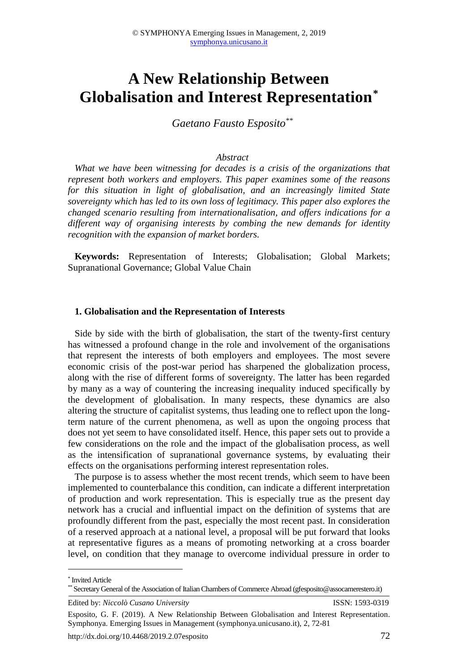# **A New Relationship Between Globalisation and Interest Representation\***

*Gaetano Fausto Esposito\*\**

#### *Abstract*

*What we have been witnessing for decades is a crisis of the organizations that represent both workers and employers. This paper examines some of the reasons for this situation in light of globalisation, and an increasingly limited State sovereignty which has led to its own loss of legitimacy. This paper also explores the changed scenario resulting from internationalisation, and offers indications for a different way of organising interests by combing the new demands for identity recognition with the expansion of market borders.* 

**Keywords:** Representation of Interests; Globalisation; Global Markets; Supranational Governance; Global Value Chain

#### **1. Globalisation and the Representation of Interests**

Side by side with the birth of globalisation, the start of the twenty-first century has witnessed a profound change in the role and involvement of the organisations that represent the interests of both employers and employees. The most severe economic crisis of the post-war period has sharpened the globalization process, along with the rise of different forms of sovereignty. The latter has been regarded by many as a way of countering the increasing inequality induced specifically by the development of globalisation. In many respects, these dynamics are also altering the structure of capitalist systems, thus leading one to reflect upon the longterm nature of the current phenomena, as well as upon the ongoing process that does not yet seem to have consolidated itself. Hence, this paper sets out to provide a few considerations on the role and the impact of the globalisation process, as well as the intensification of supranational governance systems, by evaluating their effects on the organisations performing interest representation roles.

The purpose is to assess whether the most recent trends, which seem to have been implemented to counterbalance this condition, can indicate a different interpretation of production and work representation. This is especially true as the present day network has a crucial and influential impact on the definition of systems that are profoundly different from the past, especially the most recent past. In consideration of a reserved approach at a national level, a proposal will be put forward that looks at representative figures as a means of promoting networking at a cross boarder level, on condition that they manage to overcome individual pressure in order to

**.** 

<sup>\*</sup> Invited Article

<sup>\*\*</sup> Secretary General of the Association of Italian Chambers of Commerce Abroad (gfesposito@assocamerestero.it)

Edited by: *Niccolò Cusano University* ISSN: 1593-0319

Esposito, G. F. (2019). A New Relationship Between Globalisation and Interest Representation. Symphonya. Emerging Issues in Management (symphonya.unicusano.it), 2, 72-81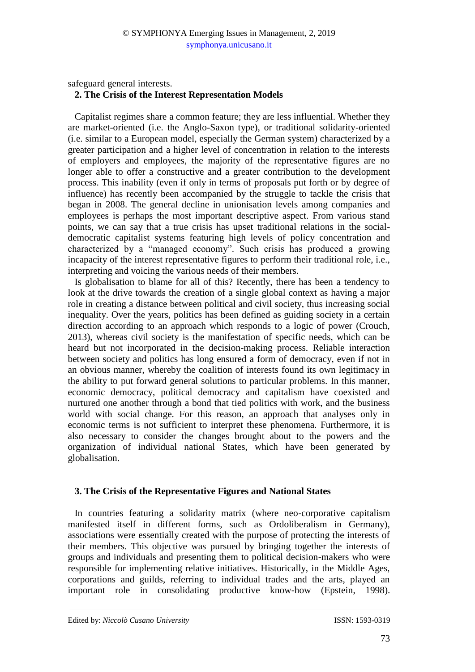safeguard general interests.

## **2. The Crisis of the Interest Representation Models**

Capitalist regimes share a common feature; they are less influential. Whether they are market-oriented (i.e. the Anglo-Saxon type), or traditional solidarity-oriented (i.e. similar to a European model, especially the German system) characterized by a greater participation and a higher level of concentration in relation to the interests of employers and employees, the majority of the representative figures are no longer able to offer a constructive and a greater contribution to the development process. This inability (even if only in terms of proposals put forth or by degree of influence) has recently been accompanied by the struggle to tackle the crisis that began in 2008. The general decline in unionisation levels among companies and employees is perhaps the most important descriptive aspect. From various stand points, we can say that a true crisis has upset traditional relations in the socialdemocratic capitalist systems featuring high levels of policy concentration and characterized by a "managed economy". Such crisis has produced a growing incapacity of the interest representative figures to perform their traditional role, i.e., interpreting and voicing the various needs of their members.

Is globalisation to blame for all of this? Recently, there has been a tendency to look at the drive towards the creation of a single global context as having a major role in creating a distance between political and civil society, thus increasing social inequality. Over the years, politics has been defined as guiding society in a certain direction according to an approach which responds to a logic of power (Crouch, 2013), whereas civil society is the manifestation of specific needs, which can be heard but not incorporated in the decision-making process. Reliable interaction between society and politics has long ensured a form of democracy, even if not in an obvious manner, whereby the coalition of interests found its own legitimacy in the ability to put forward general solutions to particular problems. In this manner, economic democracy, political democracy and capitalism have coexisted and nurtured one another through a bond that tied politics with work, and the business world with social change. For this reason, an approach that analyses only in economic terms is not sufficient to interpret these phenomena. Furthermore, it is also necessary to consider the changes brought about to the powers and the organization of individual national States, which have been generated by globalisation.

## **3. The Crisis of the Representative Figures and National States**

In countries featuring a solidarity matrix (where neo-corporative capitalism manifested itself in different forms, such as Ordoliberalism in Germany), associations were essentially created with the purpose of protecting the interests of their members. This objective was pursued by bringing together the interests of groups and individuals and presenting them to political decision-makers who were responsible for implementing relative initiatives. Historically, in the Middle Ages, corporations and guilds, referring to individual trades and the arts, played an important role in consolidating productive know-how (Epstein, 1998).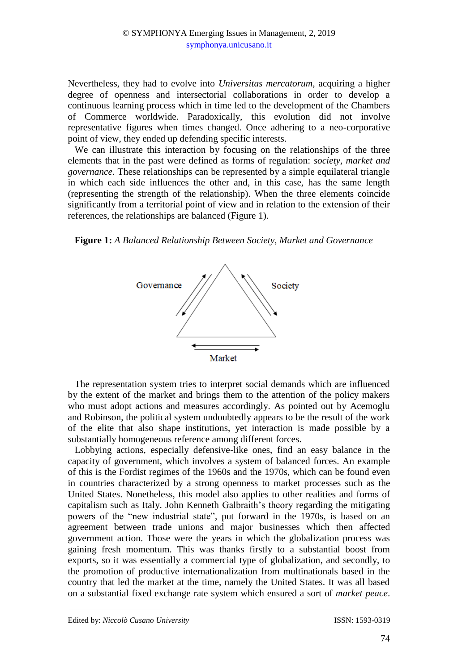Nevertheless, they had to evolve into *Universitas mercatorum*, acquiring a higher degree of openness and intersectorial collaborations in order to develop a continuous learning process which in time led to the development of the Chambers of Commerce worldwide. Paradoxically, this evolution did not involve representative figures when times changed. Once adhering to a neo-corporative point of view, they ended up defending specific interests.

We can illustrate this interaction by focusing on the relationships of the three elements that in the past were defined as forms of regulation: *society, market and governance*. These relationships can be represented by a simple equilateral triangle in which each side influences the other and, in this case, has the same length (representing the strength of the relationship). When the three elements coincide significantly from a territorial point of view and in relation to the extension of their references, the relationships are balanced (Figure 1).

**Figure 1:** *A Balanced Relationship Between Society, Market and Governance*



The representation system tries to interpret social demands which are influenced by the extent of the market and brings them to the attention of the policy makers who must adopt actions and measures accordingly. As pointed out by Acemoglu and Robinson, the political system undoubtedly appears to be the result of the work of the elite that also shape institutions, yet interaction is made possible by a substantially homogeneous reference among different forces.

Lobbying actions, especially defensive-like ones, find an easy balance in the capacity of government, which involves a system of balanced forces. An example of this is the Fordist regimes of the 1960s and the 1970s, which can be found even in countries characterized by a strong openness to market processes such as the United States. Nonetheless, this model also applies to other realities and forms of capitalism such as Italy. John Kenneth Galbraith's theory regarding the mitigating powers of the "new industrial state", put forward in the 1970s, is based on an agreement between trade unions and major businesses which then affected government action. Those were the years in which the globalization process was gaining fresh momentum. This was thanks firstly to a substantial boost from exports, so it was essentially a commercial type of globalization, and secondly, to the promotion of productive internationalization from multinationals based in the country that led the market at the time, namely the United States. It was all based on a substantial fixed exchange rate system which ensured a sort of *market peace*.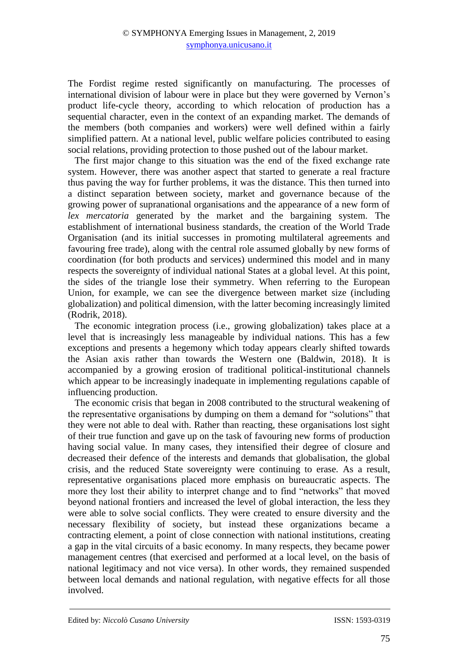The Fordist regime rested significantly on manufacturing. The processes of international division of labour were in place but they were governed by Vernon's product life-cycle theory, according to which relocation of production has a sequential character, even in the context of an expanding market. The demands of the members (both companies and workers) were well defined within a fairly simplified pattern. At a national level, public welfare policies contributed to easing social relations, providing protection to those pushed out of the labour market.

The first major change to this situation was the end of the fixed exchange rate system. However, there was another aspect that started to generate a real fracture thus paving the way for further problems, it was the distance. This then turned into a distinct separation between society, market and governance because of the growing power of supranational organisations and the appearance of a new form of *lex mercatoria* generated by the market and the bargaining system. The establishment of international business standards, the creation of the World Trade Organisation (and its initial successes in promoting multilateral agreements and favouring free trade), along with the central role assumed globally by new forms of coordination (for both products and services) undermined this model and in many respects the sovereignty of individual national States at a global level. At this point, the sides of the triangle lose their symmetry. When referring to the European Union, for example, we can see the divergence between market size (including globalization) and political dimension, with the latter becoming increasingly limited (Rodrik, 2018).

The economic integration process (i.e., growing globalization) takes place at a level that is increasingly less manageable by individual nations. This has a few exceptions and presents a hegemony which today appears clearly shifted towards the Asian axis rather than towards the Western one (Baldwin, 2018). It is accompanied by a growing erosion of traditional political-institutional channels which appear to be increasingly inadequate in implementing regulations capable of influencing production.

The economic crisis that began in 2008 contributed to the structural weakening of the representative organisations by dumping on them a demand for "solutions" that they were not able to deal with. Rather than reacting, these organisations lost sight of their true function and gave up on the task of favouring new forms of production having social value. In many cases, they intensified their degree of closure and decreased their defence of the interests and demands that globalisation, the global crisis, and the reduced State sovereignty were continuing to erase. As a result, representative organisations placed more emphasis on bureaucratic aspects. The more they lost their ability to interpret change and to find "networks" that moved beyond national frontiers and increased the level of global interaction, the less they were able to solve social conflicts. They were created to ensure diversity and the necessary flexibility of society, but instead these organizations became a contracting element, a point of close connection with national institutions, creating a gap in the vital circuits of a basic economy. In many respects, they became power management centres (that exercised and performed at a local level, on the basis of national legitimacy and not vice versa). In other words, they remained suspended between local demands and national regulation, with negative effects for all those involved.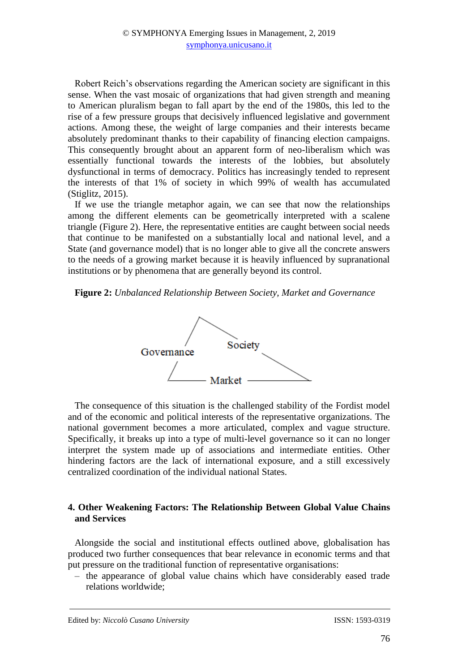Robert Reich's observations regarding the American society are significant in this sense. When the vast mosaic of organizations that had given strength and meaning to American pluralism began to fall apart by the end of the 1980s, this led to the rise of a few pressure groups that decisively influenced legislative and government actions. Among these, the weight of large companies and their interests became absolutely predominant thanks to their capability of financing election campaigns. This consequently brought about an apparent form of neo-liberalism which was essentially functional towards the interests of the lobbies, but absolutely dysfunctional in terms of democracy. Politics has increasingly tended to represent the interests of that 1% of society in which 99% of wealth has accumulated (Stiglitz, 2015).

If we use the triangle metaphor again, we can see that now the relationships among the different elements can be geometrically interpreted with a scalene triangle (Figure 2). Here, the representative entities are caught between social needs that continue to be manifested on a substantially local and national level, and a State (and governance model) that is no longer able to give all the concrete answers to the needs of a growing market because it is heavily influenced by supranational institutions or by phenomena that are generally beyond its control.

#### **Figure 2:** *Unbalanced Relationship Between Society, Market and Governance*



The consequence of this situation is the challenged stability of the Fordist model and of the economic and political interests of the representative organizations. The national government becomes a more articulated, complex and vague structure. Specifically, it breaks up into a type of multi-level governance so it can no longer interpret the system made up of associations and intermediate entities. Other hindering factors are the lack of international exposure, and a still excessively centralized coordination of the individual national States.

### **4. Other Weakening Factors: The Relationship Between Global Value Chains and Services**

Alongside the social and institutional effects outlined above, globalisation has produced two further consequences that bear relevance in economic terms and that put pressure on the traditional function of representative organisations:

‒ the appearance of global value chains which have considerably eased trade relations worldwide;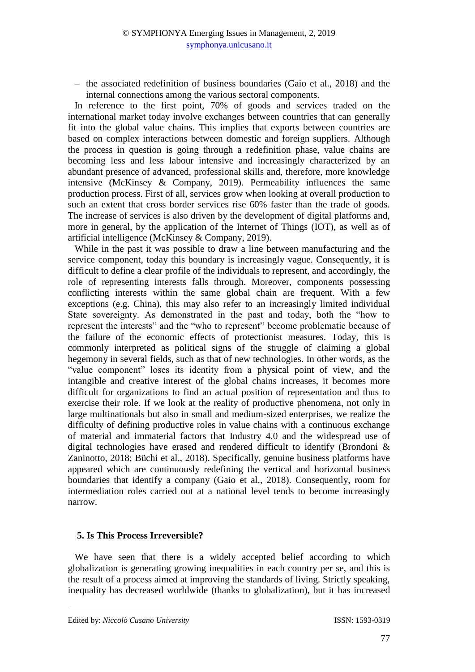‒ the associated redefinition of business boundaries (Gaio et al., 2018) and the internal connections among the various sectoral components.

In reference to the first point, 70% of goods and services traded on the international market today involve exchanges between countries that can generally fit into the global value chains. This implies that exports between countries are based on complex interactions between domestic and foreign suppliers. Although the process in question is going through a redefinition phase, value chains are becoming less and less labour intensive and increasingly characterized by an abundant presence of advanced, professional skills and, therefore, more knowledge intensive (McKinsey & Company, 2019). Permeability influences the same production process. First of all, services grow when looking at overall production to such an extent that cross border services rise 60% faster than the trade of goods. The increase of services is also driven by the development of digital platforms and, more in general, by the application of the Internet of Things (IOT), as well as of artificial intelligence (McKinsey & Company, 2019).

While in the past it was possible to draw a line between manufacturing and the service component, today this boundary is increasingly vague. Consequently, it is difficult to define a clear profile of the individuals to represent, and accordingly, the role of representing interests falls through. Moreover, components possessing conflicting interests within the same global chain are frequent. With a few exceptions (e.g. China), this may also refer to an increasingly limited individual State sovereignty. As demonstrated in the past and today, both the "how to represent the interests" and the "who to represent" become problematic because of the failure of the economic effects of protectionist measures. Today, this is commonly interpreted as political signs of the struggle of claiming a global hegemony in several fields, such as that of new technologies. In other words, as the "value component" loses its identity from a physical point of view, and the intangible and creative interest of the global chains increases, it becomes more difficult for organizations to find an actual position of representation and thus to exercise their role. If we look at the reality of productive phenomena, not only in large multinationals but also in small and medium-sized enterprises, we realize the difficulty of defining productive roles in value chains with a continuous exchange of material and immaterial factors that Industry 4.0 and the widespread use of digital technologies have erased and rendered difficult to identify (Brondoni & Zaninotto, 2018; Büchi et al., 2018). Specifically, genuine business platforms have appeared which are continuously redefining the vertical and horizontal business boundaries that identify a company (Gaio et al., 2018). Consequently, room for intermediation roles carried out at a national level tends to become increasingly narrow.

## **5. Is This Process Irreversible?**

We have seen that there is a widely accepted belief according to which globalization is generating growing inequalities in each country per se, and this is the result of a process aimed at improving the standards of living. Strictly speaking, inequality has decreased worldwide (thanks to globalization), but it has increased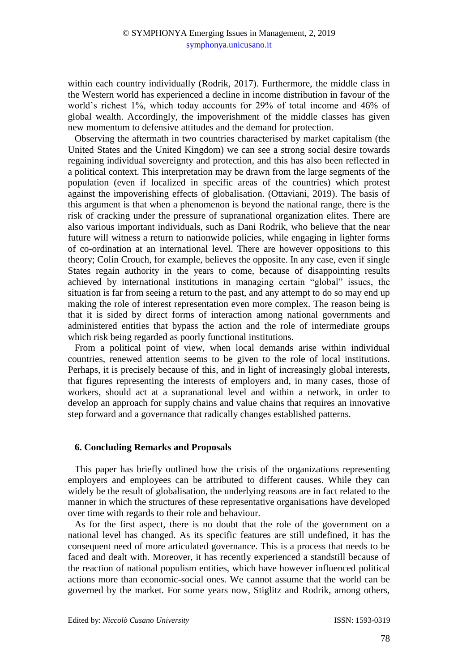within each country individually (Rodrik, 2017). Furthermore, the middle class in the Western world has experienced a decline in income distribution in favour of the world's richest 1%, which today accounts for 29% of total income and 46% of global wealth. Accordingly, the impoverishment of the middle classes has given new momentum to defensive attitudes and the demand for protection.

Observing the aftermath in two countries characterised by market capitalism (the United States and the United Kingdom) we can see a strong social desire towards regaining individual sovereignty and protection, and this has also been reflected in a political context. This interpretation may be drawn from the large segments of the population (even if localized in specific areas of the countries) which protest against the impoverishing effects of globalisation. (Ottaviani, 2019). The basis of this argument is that when a phenomenon is beyond the national range, there is the risk of cracking under the pressure of supranational organization elites. There are also various important individuals, such as Dani Rodrik, who believe that the near future will witness a return to nationwide policies, while engaging in lighter forms of co-ordination at an international level. There are however oppositions to this theory; Colin Crouch, for example, believes the opposite. In any case, even if single States regain authority in the years to come, because of disappointing results achieved by international institutions in managing certain "global" issues, the situation is far from seeing a return to the past, and any attempt to do so may end up making the role of interest representation even more complex. The reason being is that it is sided by direct forms of interaction among national governments and administered entities that bypass the action and the role of intermediate groups which risk being regarded as poorly functional institutions.

From a political point of view, when local demands arise within individual countries, renewed attention seems to be given to the role of local institutions. Perhaps, it is precisely because of this, and in light of increasingly global interests, that figures representing the interests of employers and, in many cases, those of workers, should act at a supranational level and within a network, in order to develop an approach for supply chains and value chains that requires an innovative step forward and a governance that radically changes established patterns.

## **6. Concluding Remarks and Proposals**

This paper has briefly outlined how the crisis of the organizations representing employers and employees can be attributed to different causes. While they can widely be the result of globalisation, the underlying reasons are in fact related to the manner in which the structures of these representative organisations have developed over time with regards to their role and behaviour.

As for the first aspect, there is no doubt that the role of the government on a national level has changed. As its specific features are still undefined, it has the consequent need of more articulated governance. This is a process that needs to be faced and dealt with. Moreover, it has recently experienced a standstill because of the reaction of national populism entities, which have however influenced political actions more than economic-social ones. We cannot assume that the world can be governed by the market. For some years now, Stiglitz and Rodrik, among others,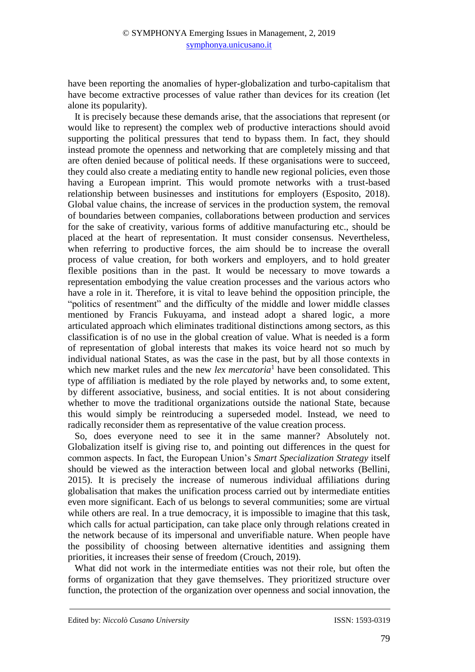have been reporting the anomalies of hyper-globalization and turbo-capitalism that have become extractive processes of value rather than devices for its creation (let alone its popularity).

It is precisely because these demands arise, that the associations that represent (or would like to represent) the complex web of productive interactions should avoid supporting the political pressures that tend to bypass them. In fact, they should instead promote the openness and networking that are completely missing and that are often denied because of political needs. If these organisations were to succeed, they could also create a mediating entity to handle new regional policies, even those having a European imprint. This would promote networks with a trust-based relationship between businesses and institutions for employers (Esposito, 2018). Global value chains, the increase of services in the production system, the removal of boundaries between companies, collaborations between production and services for the sake of creativity, various forms of additive manufacturing etc., should be placed at the heart of representation. It must consider consensus. Nevertheless, when referring to productive forces, the aim should be to increase the overall process of value creation, for both workers and employers, and to hold greater flexible positions than in the past. It would be necessary to move towards a representation embodying the value creation processes and the various actors who have a role in it. Therefore, it is vital to leave behind the opposition principle, the "politics of resentment" and the difficulty of the middle and lower middle classes mentioned by Francis Fukuyama, and instead adopt a shared logic, a more articulated approach which eliminates traditional distinctions among sectors, as this classification is of no use in the global creation of value. What is needed is a form of representation of global interests that makes its voice heard not so much by individual national States, as was the case in the past, but by all those contexts in which new market rules and the new *lex mercatoria*<sup>1</sup> have been consolidated. This type of affiliation is mediated by the role played by networks and, to some extent, by different associative, business, and social entities. It is not about considering whether to move the traditional organizations outside the national State, because this would simply be reintroducing a superseded model. Instead, we need to radically reconsider them as representative of the value creation process.

So, does everyone need to see it in the same manner? Absolutely not. Globalization itself is giving rise to, and pointing out differences in the quest for common aspects. In fact, the European Union's *Smart Specialization Strategy* itself should be viewed as the interaction between local and global networks (Bellini, 2015). It is precisely the increase of numerous individual affiliations during globalisation that makes the unification process carried out by intermediate entities even more significant. Each of us belongs to several communities; some are virtual while others are real. In a true democracy, it is impossible to imagine that this task, which calls for actual participation, can take place only through relations created in the network because of its impersonal and unverifiable nature. When people have the possibility of choosing between alternative identities and assigning them priorities, it increases their sense of freedom (Crouch, 2019).

What did not work in the intermediate entities was not their role, but often the forms of organization that they gave themselves. They prioritized structure over function, the protection of the organization over openness and social innovation, the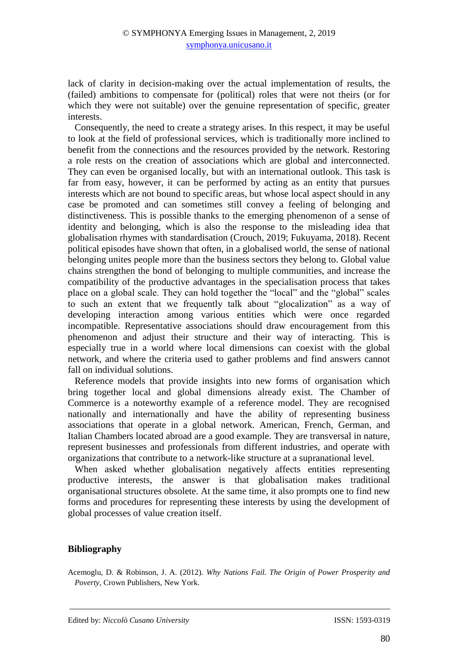lack of clarity in decision-making over the actual implementation of results, the (failed) ambitions to compensate for (political) roles that were not theirs (or for which they were not suitable) over the genuine representation of specific, greater interests.

Consequently, the need to create a strategy arises. In this respect, it may be useful to look at the field of professional services, which is traditionally more inclined to benefit from the connections and the resources provided by the network. Restoring a role rests on the creation of associations which are global and interconnected. They can even be organised locally, but with an international outlook. This task is far from easy, however, it can be performed by acting as an entity that pursues interests which are not bound to specific areas, but whose local aspect should in any case be promoted and can sometimes still convey a feeling of belonging and distinctiveness. This is possible thanks to the emerging phenomenon of a sense of identity and belonging, which is also the response to the misleading idea that globalisation rhymes with standardisation (Crouch, 2019; Fukuyama, 2018). Recent political episodes have shown that often, in a globalised world, the sense of national belonging unites people more than the business sectors they belong to. Global value chains strengthen the bond of belonging to multiple communities, and increase the compatibility of the productive advantages in the specialisation process that takes place on a global scale. They can hold together the "local" and the "global" scales to such an extent that we frequently talk about "glocalization" as a way of developing interaction among various entities which were once regarded incompatible. Representative associations should draw encouragement from this phenomenon and adjust their structure and their way of interacting. This is especially true in a world where local dimensions can coexist with the global network, and where the criteria used to gather problems and find answers cannot fall on individual solutions.

Reference models that provide insights into new forms of organisation which bring together local and global dimensions already exist. The Chamber of Commerce is a noteworthy example of a reference model. They are recognised nationally and internationally and have the ability of representing business associations that operate in a global network. American, French, German, and Italian Chambers located abroad are a good example. They are transversal in nature, represent businesses and professionals from different industries, and operate with organizations that contribute to a network-like structure at a supranational level.

When asked whether globalisation negatively affects entities representing productive interests, the answer is that globalisation makes traditional organisational structures obsolete. At the same time, it also prompts one to find new forms and procedures for representing these interests by using the development of global processes of value creation itself.

#### **Bibliography**

Acemoglu, D. & Robinson, J. A. (2012). *Why Nations Fail. The Origin of Power Prosperity and Poverty*, Crown Publishers, New York.